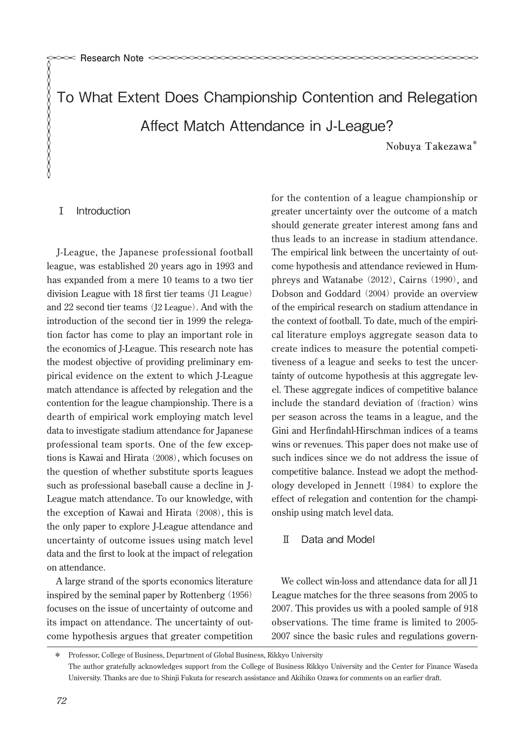To What Extent Does Championship Contention and Relegation Affect Match Attendance in J-League? **Nobuya Takezawa\***

## Ⅰ Introduction

XXXXXXXXXXXXXX

J-League, the Japanese professional football league, was established 20 years ago in 1993 and has expanded from a mere 10 teams to a two tier division League with 18 first tier teams (J1 League) and 22 second tier teams (J2 League). And with the introduction of the second tier in 1999 the relegation factor has come to play an important role in the economics of J-League. This research note has the modest objective of providing preliminary empirical evidence on the extent to which J-League match attendance is affected by relegation and the contention for the league championship. There is a dearth of empirical work employing match level data to investigate stadium attendance for Japanese professional team sports. One of the few exceptions is Kawai and Hirata (2008), which focuses on the question of whether substitute sports leagues such as professional baseball cause a decline in J-League match attendance. To our knowledge, with the exception of Kawai and Hirata  $(2008)$ , this is the only paper to explore J-League attendance and uncertainty of outcome issues using match level data and the first to look at the impact of relegation on attendance.

A large strand of the sports economics literature inspired by the seminal paper by Rottenberg (1956) focuses on the issue of uncertainty of outcome and its impact on attendance. The uncertainty of outcome hypothesis argues that greater competition for the contention of a league championship or greater uncertainty over the outcome of a match should generate greater interest among fans and thus leads to an increase in stadium attendance. The empirical link between the uncertainty of outcome hypothesis and attendance reviewed in Humphreys and Watanabe  $(2012)$ , Cairns  $(1990)$ , and Dobson and Goddard ︵2004︶ provide an overview of the empirical research on stadium attendance in the context of football. To date, much of the empirical literature employs aggregate season data to create indices to measure the potential competitiveness of a league and seeks to test the uncertainty of outcome hypothesis at this aggregate level. These aggregate indices of competitive balance include the standard deviation of (fraction) wins per season across the teams in a league, and the Gini and Herfindahl-Hirschman indices of a teams wins or revenues. This paper does not make use of such indices since we do not address the issue of competitive balance. Instead we adopt the methodology developed in Jennett ︵1984︶ to explore the effect of relegation and contention for the championship using match level data.

## Ⅱ Data and Model

We collect win-loss and attendance data for all J1 League matches for the three seasons from 2005 to 2007. This provides us with a pooled sample of 918 observations. The time frame is limited to 2005- 2007 since the basic rules and regulations govern-

<sup>\*</sup> Professor, College of Business, Department of Global Business, Rikkyo University The author gratefully acknowledges support from the College of Business Rikkyo University and the Center for Finance Waseda University. Thanks are due to Shinji Fukuta for research assistance and Akihiko Ozawa for comments on an earlier draft.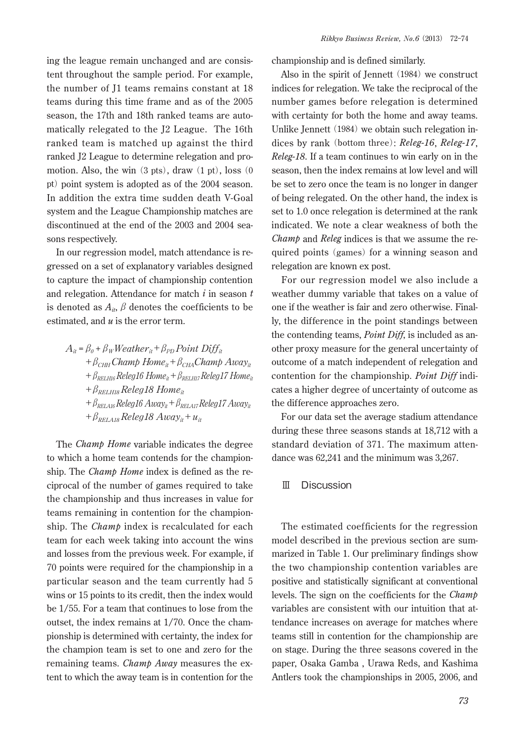ing the league remain unchanged and are consistent throughout the sample period. For example, the number of J1 teams remains constant at 18 teams during this time frame and as of the 2005 season, the 17th and 18th ranked teams are automatically relegated to the J2 League. The 16th ranked team is matched up against the third ranked J2 League to determine relegation and promotion. Also, the win  $(3 \text{ pts})$ , draw  $(1 \text{ pt})$ , loss  $(0 \text{$ pt) point system is adopted as of the 2004 season. In addition the extra time sudden death V-Goal system and the League Championship matches are discontinued at the end of the 2003 and 2004 seasons respectively.

In our regression model, match attendance is regressed on a set of explanatory variables designed to capture the impact of championship contention and relegation. Attendance for match *i* in season *t* is denoted as  $A_{it}$ ,  $\beta$  denotes the coefficients to be estimated, and *u* is the error term.

$$
A_{it} = \beta_o + \beta_W Weather_{it} + \beta_{PD} Point\ Diff_{it}
$$
  
+ 
$$
\beta_{CHH} Chamber_{it} + \beta_{CHA}Champ\ Any_{it}
$$
  
+ 
$$
\beta_{RELH16} Release16\ Home_{it} + \beta_{RELH17} Release17\ Home_{it}
$$
  
+ 
$$
\beta_{RELH16} Release18\ Home_{it}
$$
  
+ 
$$
\beta_{RELA16} Release16\ Aux_{it} + \beta_{RELAI7} Release17\ Aux_{it}
$$
  
+ 
$$
\beta_{RELA16} Release18\ Aux_{it} + \beta_{RELAI7} Release17\ Aux_{it}
$$

The *Champ Home* variable indicates the degree to which a home team contends for the championship. The *Champ Home* index is defined as the reciprocal of the number of games required to take the championship and thus increases in value for teams remaining in contention for the championship. The *Champ* index is recalculated for each team for each week taking into account the wins and losses from the previous week. For example, if 70 points were required for the championship in a particular season and the team currently had 5 wins or 15 points to its credit, then the index would be 1/55. For a team that continues to lose from the outset, the index remains at 1/70. Once the championship is determined with certainty, the index for the champion team is set to one and zero for the remaining teams. *Champ Away* measures the extent to which the away team is in contention for the

championship and is defined similarly.

Also in the spirit of Jennett  $(1984)$  we construct indices for relegation. We take the reciprocal of the number games before relegation is determined with certainty for both the home and away teams. Unlike Jennett (1984) we obtain such relegation indices by rank (bottom three): *Releg-16*, *Releg-17*, *Releg-18*. If a team continues to win early on in the season, then the index remains at low level and will be set to zero once the team is no longer in danger of being relegated. On the other hand, the index is set to 1.0 once relegation is determined at the rank indicated. We note a clear weakness of both the *Champ* and *Releg* indices is that we assume the required points (games) for a winning season and relegation are known ex post.

For our regression model we also include a weather dummy variable that takes on a value of one if the weather is fair and zero otherwise. Finally, the difference in the point standings between the contending teams, *Point Diff*, is included as another proxy measure for the general uncertainty of outcome of a match independent of relegation and contention for the championship. *Point Diff* indicates a higher degree of uncertainty of outcome as the difference approaches zero.

For our data set the average stadium attendance during these three seasons stands at 18,712 with a standard deviation of 371. The maximum attendance was 62,241 and the minimum was 3,267.

Ⅲ Discussion

The estimated coefficients for the regression model described in the previous section are summarized in Table 1. Our preliminary findings show the two championship contention variables are positive and statistically significant at conventional levels. The sign on the coefficients for the *Champ* variables are consistent with our intuition that attendance increases on average for matches where teams still in contention for the championship are on stage. During the three seasons covered in the paper, Osaka Gamba , Urawa Reds, and Kashima Antlers took the championships in 2005, 2006, and